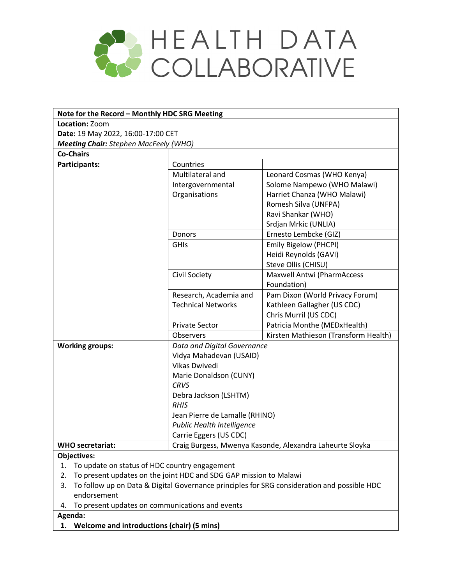

| Note for the Record - Monthly HDC SRG Meeting                                                                                  |                                |                                      |  |  |
|--------------------------------------------------------------------------------------------------------------------------------|--------------------------------|--------------------------------------|--|--|
| Location: Zoom                                                                                                                 |                                |                                      |  |  |
| Date: 19 May 2022, 16:00-17:00 CET                                                                                             |                                |                                      |  |  |
| <b>Meeting Chair:</b> Stephen MacFeely (WHO)                                                                                   |                                |                                      |  |  |
| <b>Co-Chairs</b>                                                                                                               |                                |                                      |  |  |
| Participants:                                                                                                                  | Countries                      |                                      |  |  |
|                                                                                                                                | Multilateral and               | Leonard Cosmas (WHO Kenya)           |  |  |
|                                                                                                                                | Intergovernmental              | Solome Nampewo (WHO Malawi)          |  |  |
|                                                                                                                                | Organisations                  | Harriet Chanza (WHO Malawi)          |  |  |
|                                                                                                                                |                                | Romesh Silva (UNFPA)                 |  |  |
|                                                                                                                                |                                | Ravi Shankar (WHO)                   |  |  |
|                                                                                                                                |                                | Srdjan Mrkic (UNLIA)                 |  |  |
|                                                                                                                                | Donors                         | Ernesto Lembcke (GIZ)                |  |  |
|                                                                                                                                | <b>GHIS</b>                    | Emily Bigelow (PHCPI)                |  |  |
|                                                                                                                                |                                | Heidi Reynolds (GAVI)                |  |  |
|                                                                                                                                |                                | Steve Ollis (CHISU)                  |  |  |
|                                                                                                                                | Civil Society                  | Maxwell Antwi (PharmAccess           |  |  |
|                                                                                                                                |                                | Foundation)                          |  |  |
|                                                                                                                                | Research, Academia and         | Pam Dixon (World Privacy Forum)      |  |  |
|                                                                                                                                | <b>Technical Networks</b>      | Kathleen Gallagher (US CDC)          |  |  |
|                                                                                                                                |                                | Chris Murril (US CDC)                |  |  |
|                                                                                                                                | <b>Private Sector</b>          | Patricia Monthe (MEDxHealth)         |  |  |
|                                                                                                                                | Observers                      | Kirsten Mathieson (Transform Health) |  |  |
| <b>Working groups:</b>                                                                                                         | Data and Digital Governance    |                                      |  |  |
|                                                                                                                                | Vidya Mahadevan (USAID)        |                                      |  |  |
|                                                                                                                                | Vikas Dwivedi                  |                                      |  |  |
|                                                                                                                                | Marie Donaldson (CUNY)         |                                      |  |  |
|                                                                                                                                | <b>CRVS</b>                    |                                      |  |  |
|                                                                                                                                | Debra Jackson (LSHTM)          |                                      |  |  |
|                                                                                                                                | <b>RHIS</b>                    |                                      |  |  |
|                                                                                                                                | Jean Pierre de Lamalle (RHINO) |                                      |  |  |
|                                                                                                                                | Public Health Intelligence     |                                      |  |  |
|                                                                                                                                | Carrie Eggers (US CDC)         |                                      |  |  |
| Craig Burgess, Mwenya Kasonde, Alexandra Laheurte Sloyka<br><b>WHO</b> secretariat:                                            |                                |                                      |  |  |
| Objectives:                                                                                                                    |                                |                                      |  |  |
| To update on status of HDC country engagement<br>1.<br>To present updates on the joint HDC and SDG GAP mission to Malawi<br>2. |                                |                                      |  |  |
| To follow up on Data & Digital Governance principles for SRG consideration and possible HDC<br>3.                              |                                |                                      |  |  |
| endorsement                                                                                                                    |                                |                                      |  |  |
| To present updates on communications and events<br>4.                                                                          |                                |                                      |  |  |

**Agenda:**

**1. Welcome and introductions (chair) (5 mins)**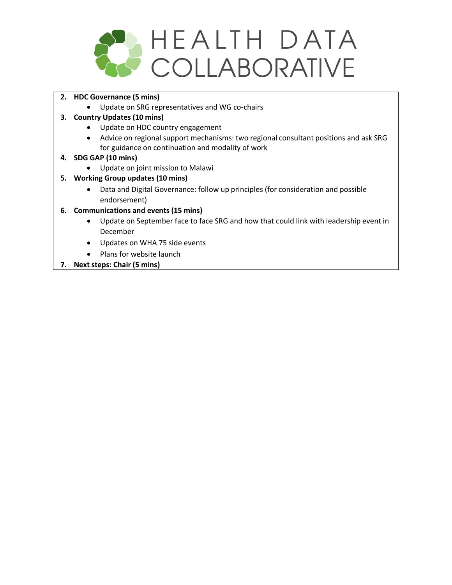

- **2. HDC Governance (5 mins)**
	- Update on SRG representatives and WG co-chairs

# **3. Country Updates (10 mins)**

- Update on HDC country engagement
- Advice on regional support mechanisms: two regional consultant positions and ask SRG for guidance on continuation and modality of work

## **4. SDG GAP (10 mins)**

• Update on joint mission to Malawi

# **5. Working Group updates (10 mins)**

- Data and Digital Governance: follow up principles (for consideration and possible endorsement)
- **6. Communications and events (15 mins)**
	- Update on September face to face SRG and how that could link with leadership event in December
	- Updates on WHA 75 side events
	- Plans for website launch
- **7. Next steps: Chair (5 mins)**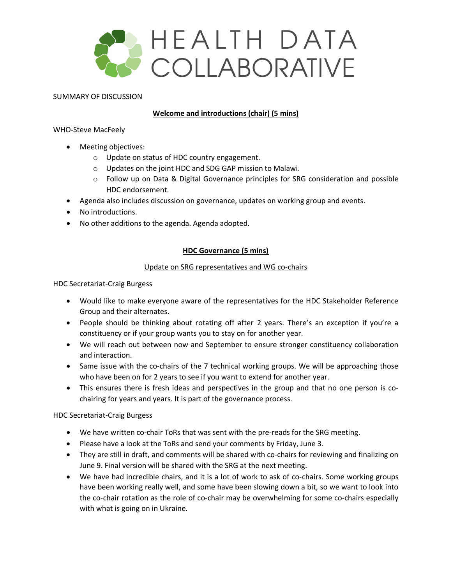

#### SUMMARY OF DISCUSSION

### **Welcome and introductions (chair) (5 mins)**

WHO-Steve MacFeely

- Meeting objectives:
	- o Update on status of HDC country engagement.
	- o Updates on the joint HDC and SDG GAP mission to Malawi.
	- o Follow up on Data & Digital Governance principles for SRG consideration and possible HDC endorsement.
- Agenda also includes discussion on governance, updates on working group and events.
- No introductions.
- No other additions to the agenda. Agenda adopted.

### **HDC Governance (5 mins)**

### Update on SRG representatives and WG co-chairs

HDC Secretariat-Craig Burgess

- Would like to make everyone aware of the representatives for the HDC Stakeholder Reference Group and their alternates.
- People should be thinking about rotating off after 2 years. There's an exception if you're a constituency or if your group wants you to stay on for another year.
- We will reach out between now and September to ensure stronger constituency collaboration and interaction.
- Same issue with the co-chairs of the 7 technical working groups. We will be approaching those who have been on for 2 years to see if you want to extend for another year.
- This ensures there is fresh ideas and perspectives in the group and that no one person is cochairing for years and years. It is part of the governance process.

HDC Secretariat-Craig Burgess

- We have written co-chair ToRs that was sent with the pre-reads for the SRG meeting.
- Please have a look at the ToRs and send your comments by Friday, June 3.
- They are still in draft, and comments will be shared with co-chairs for reviewing and finalizing on June 9. Final version will be shared with the SRG at the next meeting.
- We have had incredible chairs, and it is a lot of work to ask of co-chairs. Some working groups have been working really well, and some have been slowing down a bit, so we want to look into the co-chair rotation as the role of co-chair may be overwhelming for some co-chairs especially with what is going on in Ukraine.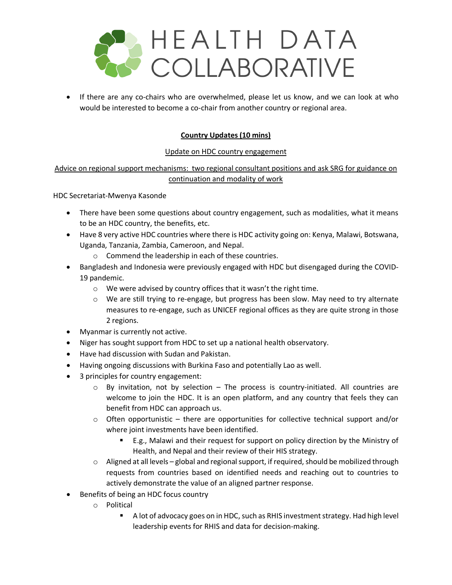

• If there are any co-chairs who are overwhelmed, please let us know, and we can look at who would be interested to become a co-chair from another country or regional area.

# **Country Updates (10 mins)**

### Update on HDC country engagement

# Advice on regional support mechanisms: two regional consultant positions and ask SRG for guidance on continuation and modality of work

HDC Secretariat-Mwenya Kasonde

- There have been some questions about country engagement, such as modalities, what it means to be an HDC country, the benefits, etc.
- Have 8 very active HDC countries where there is HDC activity going on: Kenya, Malawi, Botswana, Uganda, Tanzania, Zambia, Cameroon, and Nepal.
	- o Commend the leadership in each of these countries.
- Bangladesh and Indonesia were previously engaged with HDC but disengaged during the COVID-19 pandemic.
	- o We were advised by country offices that it wasn't the right time.
	- o We are still trying to re-engage, but progress has been slow. May need to try alternate measures to re-engage, such as UNICEF regional offices as they are quite strong in those 2 regions.
- Myanmar is currently not active.
- Niger has sought support from HDC to set up a national health observatory.
- Have had discussion with Sudan and Pakistan.
- Having ongoing discussions with Burkina Faso and potentially Lao as well.
- 3 principles for country engagement:
	- $\circ$  By invitation, not by selection The process is country-initiated. All countries are welcome to join the HDC. It is an open platform, and any country that feels they can benefit from HDC can approach us.
	- $\circ$  Often opportunistic there are opportunities for collective technical support and/or where joint investments have been identified.
		- E.g., Malawi and their request for support on policy direction by the Ministry of Health, and Nepal and their review of their HIS strategy.
	- $\circ$  Aligned at all levels global and regional support, if required, should be mobilized through requests from countries based on identified needs and reaching out to countries to actively demonstrate the value of an aligned partner response.
- Benefits of being an HDC focus country
	- o Political
		- A lot of advocacy goes on in HDC, such as RHIS investment strategy. Had high level leadership events for RHIS and data for decision-making.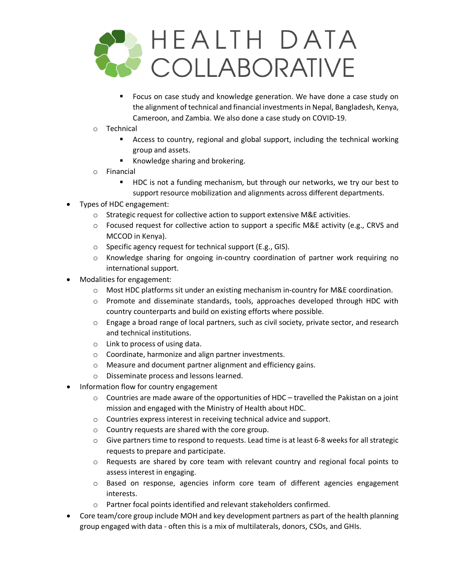

- Focus on case study and knowledge generation. We have done a case study on the alignment of technical and financial investments in Nepal, Bangladesh, Kenya, Cameroon, and Zambia. We also done a case study on COVID-19.
- o Technical
	- Access to country, regional and global support, including the technical working group and assets.
	- Knowledge sharing and brokering.
- o Financial
	- **HDC** is not a funding mechanism, but through our networks, we try our best to support resource mobilization and alignments across different departments.
- Types of HDC engagement:
	- o Strategic request for collective action to support extensive M&E activities.
	- o Focused request for collective action to support a specific M&E activity (e.g., CRVS and MCCOD in Kenya).
	- o Specific agency request for technical support (E.g., GIS).
	- o Knowledge sharing for ongoing in-country coordination of partner work requiring no international support.
- Modalities for engagement:
	- o Most HDC platforms sit under an existing mechanism in-country for M&E coordination.
	- o Promote and disseminate standards, tools, approaches developed through HDC with country counterparts and build on existing efforts where possible.
	- $\circ$  Engage a broad range of local partners, such as civil society, private sector, and research and technical institutions.
	- o Link to process of using data.
	- o Coordinate, harmonize and align partner investments.
	- o Measure and document partner alignment and efficiency gains.
	- o Disseminate process and lessons learned.
- Information flow for country engagement
	- $\circ$  Countries are made aware of the opportunities of HDC travelled the Pakistan on a joint mission and engaged with the Ministry of Health about HDC.
	- o Countries express interest in receiving technical advice and support.
	- o Country requests are shared with the core group.
	- $\circ$  Give partners time to respond to requests. Lead time is at least 6-8 weeks for all strategic requests to prepare and participate.
	- $\circ$  Requests are shared by core team with relevant country and regional focal points to assess interest in engaging.
	- o Based on response, agencies inform core team of different agencies engagement interests.
	- o Partner focal points identified and relevant stakeholders confirmed.
- Core team/core group include MOH and key development partners as part of the health planning group engaged with data - often this is a mix of multilaterals, donors, CSOs, and GHIs.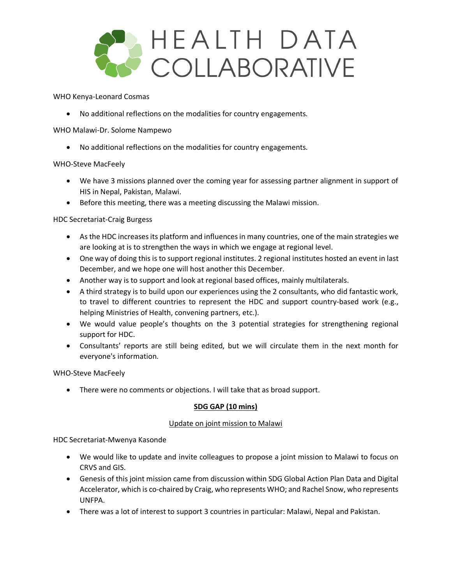

WHO Kenya-Leonard Cosmas

• No additional reflections on the modalities for country engagements.

WHO Malawi-Dr. Solome Nampewo

• No additional reflections on the modalities for country engagements.

### WHO-Steve MacFeely

- We have 3 missions planned over the coming year for assessing partner alignment in support of HIS in Nepal, Pakistan, Malawi.
- Before this meeting, there was a meeting discussing the Malawi mission.

### HDC Secretariat-Craig Burgess

- As the HDC increases its platform and influences in many countries, one of the main strategies we are looking at is to strengthen the ways in which we engage at regional level.
- One way of doing this is to support regional institutes. 2 regional institutes hosted an event in last December, and we hope one will host another this December.
- Another way is to support and look at regional based offices, mainly multilaterals.
- A third strategy is to build upon our experiences using the 2 consultants, who did fantastic work, to travel to different countries to represent the HDC and support country-based work (e.g., helping Ministries of Health, convening partners, etc.).
- We would value people's thoughts on the 3 potential strategies for strengthening regional support for HDC.
- Consultants' reports are still being edited, but we will circulate them in the next month for everyone's information.

### WHO-Steve MacFeely

• There were no comments or objections. I will take that as broad support.

### **SDG GAP (10 mins)**

### Update on joint mission to Malawi

HDC Secretariat-Mwenya Kasonde

- We would like to update and invite colleagues to propose a joint mission to Malawi to focus on CRVS and GIS.
- Genesis of this joint mission came from discussion within SDG Global Action Plan Data and Digital Accelerator, which is co-chaired by Craig, who represents WHO; and Rachel Snow, who represents UNFPA.
- There was a lot of interest to support 3 countries in particular: Malawi, Nepal and Pakistan.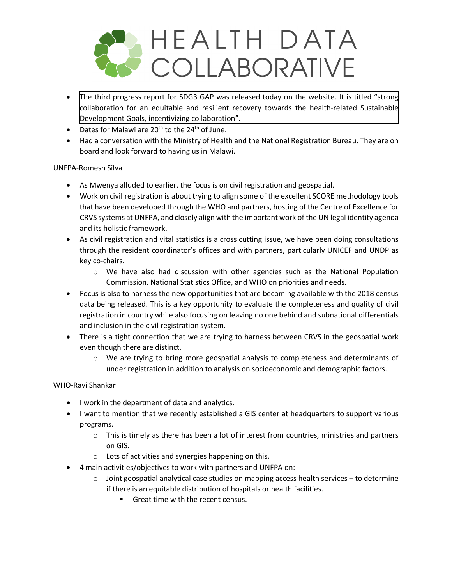

- The third progress report for [SDG3 GAP was released today on the website. It is titled "strong](https://www.who.int/initiatives/sdg3-global-action-plan/progress-reports/2022) collaboration for an equitable and resilient recovery towards the health-related Sustainable Development Goals, incentivizing collaboration".
- Dates for Malawi are  $20^{th}$  to the  $24^{th}$  of June.
- Had a conversation with the Ministry of Health and the National Registration Bureau. They are on board and look forward to having us in Malawi.

### UNFPA-Romesh Silva

- As Mwenya alluded to earlier, the focus is on civil registration and geospatial.
- Work on civil registration is about trying to align some of the excellent SCORE methodology tools that have been developed through the WHO and partners, hosting of the Centre of Excellence for CRVS systems at UNFPA, and closely align with the important work of the UN legal identity agenda and its holistic framework.
- As civil registration and vital statistics is a cross cutting issue, we have been doing consultations through the resident coordinator's offices and with partners, particularly UNICEF and UNDP as key co-chairs.
	- o We have also had discussion with other agencies such as the National Population Commission, National Statistics Office, and WHO on priorities and needs.
- Focus is also to harness the new opportunities that are becoming available with the 2018 census data being released. This is a key opportunity to evaluate the completeness and quality of civil registration in country while also focusing on leaving no one behind and subnational differentials and inclusion in the civil registration system.
- There is a tight connection that we are trying to harness between CRVS in the geospatial work even though there are distinct.
	- $\circ$  We are trying to bring more geospatial analysis to completeness and determinants of under registration in addition to analysis on socioeconomic and demographic factors.

### WHO-Ravi Shankar

- I work in the department of data and analytics.
- I want to mention that we recently established a GIS center at headquarters to support various programs.
	- $\circ$  This is timely as there has been a lot of interest from countries, ministries and partners on GIS.
	- o Lots of activities and synergies happening on this.
- 4 main activities/objectives to work with partners and UNFPA on:
	- $\circ$  Joint geospatial analytical case studies on mapping access health services to determine if there is an equitable distribution of hospitals or health facilities.
		- Great time with the recent census.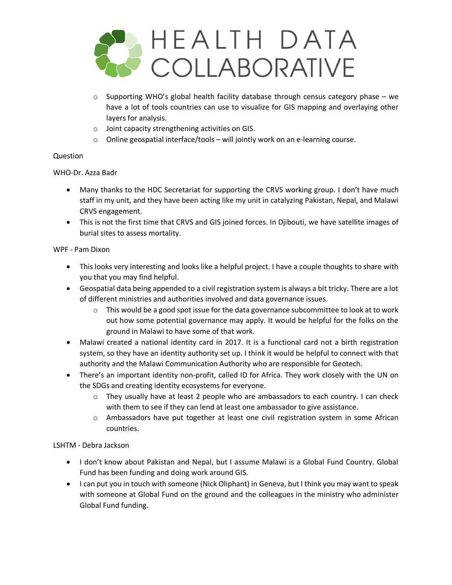

- $\circ$  Supporting WHO's global health facility database through census category phase we have a lot of tools countries can use to visualize for GIS mapping and overlaying other layers for analysis.
- o Joint capacity strengthening activities on GIS.
- o Online geospatial interface/tools will jointly work on an e-learning course.

### Question

### WHO-Dr. Azza Badr

- Many thanks to the HDC Secretariat for supporting the CRVS working group. I don't have much staff in my unit, and they have been acting like my unit in catalyzing Pakistan, Nepal, and Malawi CRVS engagement.
- This is not the first time that CRVS and GIS joined forces. In Djibouti, we have satellite images of burial sites to assess mortality.

### WPF - Pam Dixon

- This looks very interesting and looks like a helpful project. I have a couple thoughts to share with you that you may find helpful.
- Geospatial data being appended to a civil registration system is always a bit tricky. There are a lot of different ministries and authorities involved and data governance issues.
	- $\circ$  This would be a good spot issue for the data governance subcommittee to look at to work out how some potential governance may apply. It would be helpful for the folks on the ground in Malawi to have some of that work.
- Malawi created a national identity card in 2017. It is a functional card not a birth registration system, so they have an identity authority set up. I think it would be helpful to connect with that authority and the Malawi Communication Authority who are responsible for Geotech.
- There's an important identity non-profit, called ID for Africa. They work closely with the UN on the SDGs and creating identity ecosystems for everyone.
	- $\circ$  They usually have at least 2 people who are ambassadors to each country. I can check with them to see if they can lend at least one ambassador to give assistance.
	- o Ambassadors have put together at least one civil registration system in some African countries.

## LSHTM - Debra Jackson

- I don't know about Pakistan and Nepal, but I assume Malawi is a Global Fund Country. Global Fund has been funding and doing work around GIS.
- I can put you in touch with someone (Nick Oliphant) in Geneva, but I think you may want to speak with someone at Global Fund on the ground and the colleagues in the ministry who administer Global Fund funding.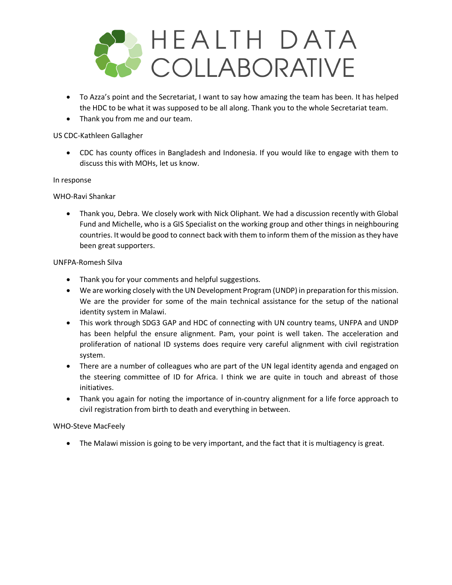

- To Azza's point and the Secretariat, I want to say how amazing the team has been. It has helped the HDC to be what it was supposed to be all along. Thank you to the whole Secretariat team.
- Thank you from me and our team.

### US CDC-Kathleen Gallagher

• CDC has county offices in Bangladesh and Indonesia. If you would like to engage with them to discuss this with MOHs, let us know.

### In response

WHO-Ravi Shankar

• Thank you, Debra. We closely work with Nick Oliphant. We had a discussion recently with Global Fund and Michelle, who is a GIS Specialist on the working group and other things in neighbouring countries. It would be good to connect back with them to inform them of the mission as they have been great supporters.

### UNFPA-Romesh Silva

- Thank you for your comments and helpful suggestions.
- We are working closely with the UN Development Program (UNDP) in preparation for this mission. We are the provider for some of the main technical assistance for the setup of the national identity system in Malawi.
- This work through SDG3 GAP and HDC of connecting with UN country teams, UNFPA and UNDP has been helpful the ensure alignment. Pam, your point is well taken. The acceleration and proliferation of national ID systems does require very careful alignment with civil registration system.
- There are a number of colleagues who are part of the UN legal identity agenda and engaged on the steering committee of ID for Africa. I think we are quite in touch and abreast of those initiatives.
- Thank you again for noting the importance of in-country alignment for a life force approach to civil registration from birth to death and everything in between.

## WHO-Steve MacFeely

• The Malawi mission is going to be very important, and the fact that it is multiagency is great.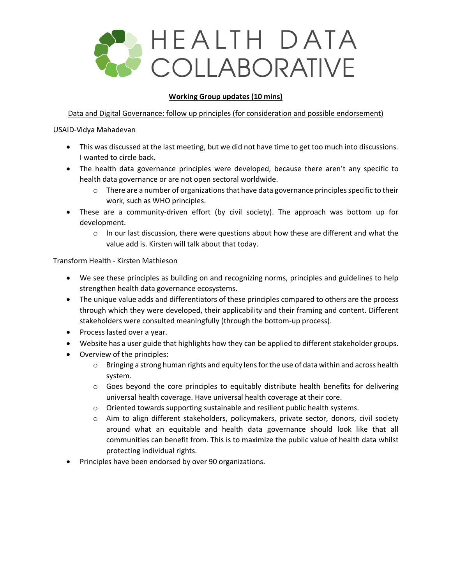

### **Working Group updates (10 mins)**

Data and Digital Governance: follow up principles (for consideration and possible endorsement)

USAID-Vidya Mahadevan

- This was discussed at the last meeting, but we did not have time to get too much into discussions. I wanted to circle back.
- The health data governance principles were developed, because there aren't any specific to health data governance or are not open sectoral worldwide.
	- $\circ$  There are a number of organizations that have data governance principles specific to their work, such as WHO principles.
- These are a community-driven effort (by civil society). The approach was bottom up for development.
	- $\circ$  In our last discussion, there were questions about how these are different and what the value add is. Kirsten will talk about that today.

Transform Health - Kirsten Mathieson

- We see these principles as building on and recognizing norms, principles and guidelines to help strengthen health data governance ecosystems.
- The unique value adds and differentiators of these principles compared to others are the process through which they were developed, their applicability and their framing and content. Different stakeholders were consulted meaningfully (through the bottom-up process).
- Process lasted over a year.
- Website has a user guide that highlights how they can be applied to different stakeholder groups.
- Overview of the principles:
	- $\circ$  Bringing a strong human rights and equity lens for the use of data within and across health system.
	- $\circ$  Goes beyond the core principles to equitably distribute health benefits for delivering universal health coverage. Have universal health coverage at their core.
	- o Oriented towards supporting sustainable and resilient public health systems.
	- o Aim to align different stakeholders, policymakers, private sector, donors, civil society around what an equitable and health data governance should look like that all communities can benefit from. This is to maximize the public value of health data whilst protecting individual rights.
- Principles have been endorsed by over 90 organizations.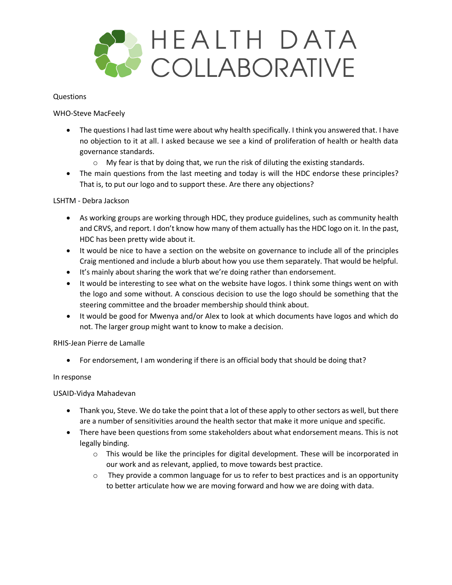

#### Questions

WHO-Steve MacFeely

- The questions I had last time were about why health specifically. I think you answered that. I have no objection to it at all. I asked because we see a kind of proliferation of health or health data governance standards.
	- o My fear is that by doing that, we run the risk of diluting the existing standards.
- The main questions from the last meeting and today is will the HDC endorse these principles? That is, to put our logo and to support these. Are there any objections?

### LSHTM - Debra Jackson

- As working groups are working through HDC, they produce guidelines, such as community health and CRVS, and report. I don't know how many of them actually has the HDC logo on it. In the past, HDC has been pretty wide about it.
- It would be nice to have a section on the website on governance to include all of the principles Craig mentioned and include a blurb about how you use them separately. That would be helpful.
- It's mainly about sharing the work that we're doing rather than endorsement.
- It would be interesting to see what on the website have logos. I think some things went on with the logo and some without. A conscious decision to use the logo should be something that the steering committee and the broader membership should think about.
- It would be good for Mwenya and/or Alex to look at which documents have logos and which do not. The larger group might want to know to make a decision.

### RHIS-Jean Pierre de Lamalle

• For endorsement, I am wondering if there is an official body that should be doing that?

### In response

USAID-Vidya Mahadevan

- Thank you, Steve. We do take the point that a lot of these apply to other sectors as well, but there are a number of sensitivities around the health sector that make it more unique and specific.
- There have been questions from some stakeholders about what endorsement means. This is not legally binding.
	- $\circ$  This would be like the principles for digital development. These will be incorporated in our work and as relevant, applied, to move towards best practice.
	- $\circ$  They provide a common language for us to refer to best practices and is an opportunity to better articulate how we are moving forward and how we are doing with data.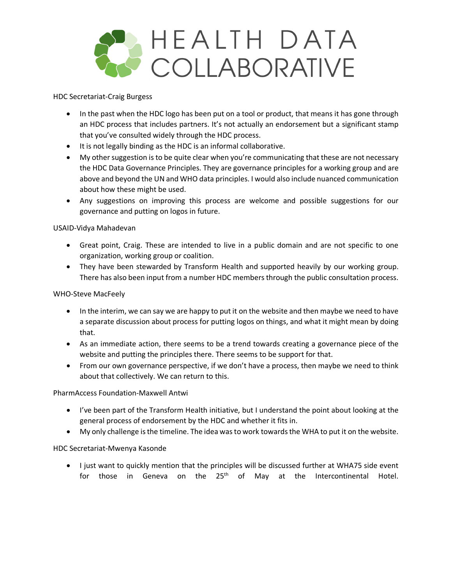

HDC Secretariat-Craig Burgess

- In the past when the HDC logo has been put on a tool or product, that means it has gone through an HDC process that includes partners. It's not actually an endorsement but a significant stamp that you've consulted widely through the HDC process.
- It is not legally binding as the HDC is an informal collaborative.
- My other suggestion is to be quite clear when you're communicating that these are not necessary the HDC Data Governance Principles. They are governance principles for a working group and are above and beyond the UN and WHO data principles. I would also include nuanced communication about how these might be used.
- Any suggestions on improving this process are welcome and possible suggestions for our governance and putting on logos in future.

### USAID-Vidya Mahadevan

- Great point, Craig. These are intended to live in a public domain and are not specific to one organization, working group or coalition.
- They have been stewarded by Transform Health and supported heavily by our working group. There has also been input from a number HDC members through the public consultation process.

### WHO-Steve MacFeely

- In the interim, we can say we are happy to put it on the website and then maybe we need to have a separate discussion about process for putting logos on things, and what it might mean by doing that.
- As an immediate action, there seems to be a trend towards creating a governance piece of the website and putting the principles there. There seems to be support for that.
- From our own governance perspective, if we don't have a process, then maybe we need to think about that collectively. We can return to this.

PharmAccess Foundation-Maxwell Antwi

- I've been part of the Transform Health initiative, but I understand the point about looking at the general process of endorsement by the HDC and whether it fits in.
- My only challenge is the timeline. The idea was to work towards the WHA to put it on the website.

### HDC Secretariat-Mwenya Kasonde

• I just want to quickly mention that the principles will be discussed further at WHA75 side event for those in Geneva on the 25<sup>th</sup> of May at the Intercontinental Hotel.